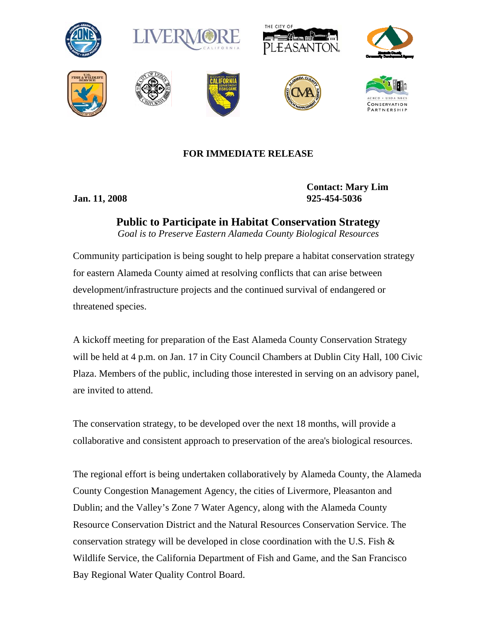















## **FOR IMMEDIATE RELEASE**

**Contact: Mary Lim Jan. 11, 2008 925-454-5036** 

> **Public to Participate in Habitat Conservation Strategy**  *Goal is to Preserve Eastern Alameda County Biological Resources*

Community participation is being sought to help prepare a habitat conservation strategy for eastern Alameda County aimed at resolving conflicts that can arise between development/infrastructure projects and the continued survival of endangered or threatened species.

A kickoff meeting for preparation of the East Alameda County Conservation Strategy will be held at 4 p.m. on Jan. 17 in City Council Chambers at Dublin City Hall, 100 Civic Plaza. Members of the public, including those interested in serving on an advisory panel, are invited to attend.

The conservation strategy, to be developed over the next 18 months, will provide a collaborative and consistent approach to preservation of the area's biological resources.

The regional effort is being undertaken collaboratively by Alameda County, the Alameda County Congestion Management Agency, the cities of Livermore, Pleasanton and Dublin; and the Valley's Zone 7 Water Agency, along with the Alameda County Resource Conservation District and the Natural Resources Conservation Service. The conservation strategy will be developed in close coordination with the U.S. Fish  $\&$ Wildlife Service, the California Department of Fish and Game, and the San Francisco Bay Regional Water Quality Control Board.